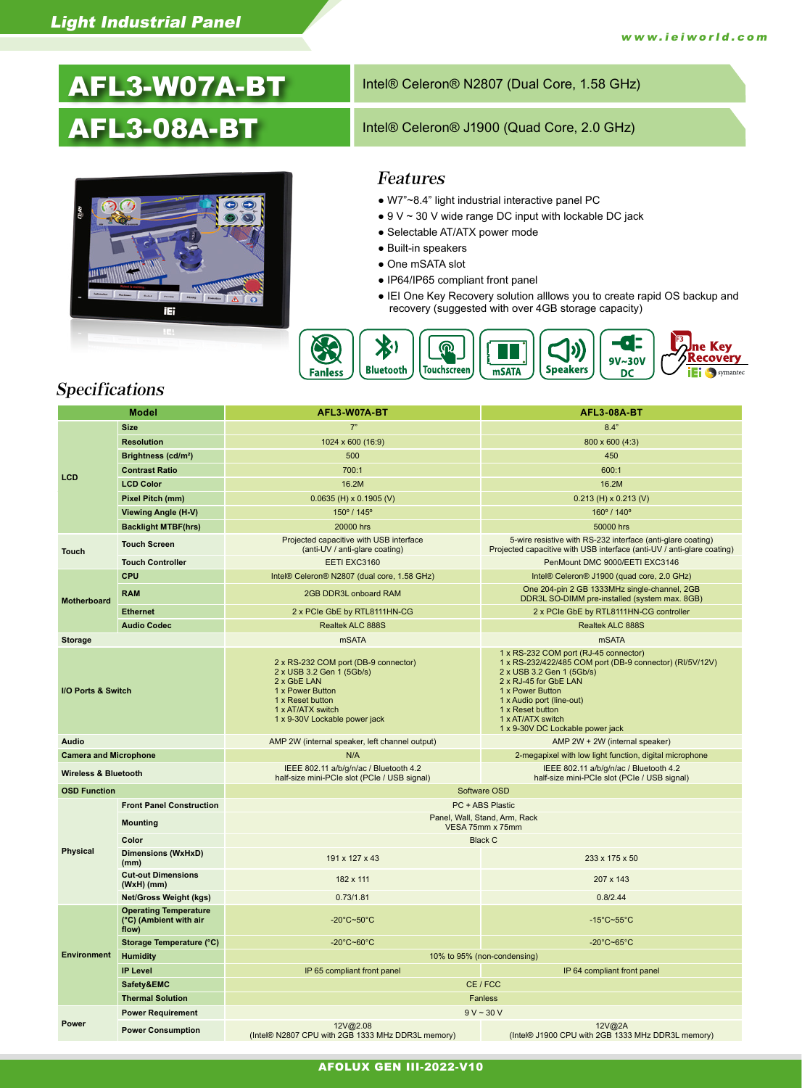# AFL3-W07A-BT

## AFL3-08A-BT



#### Intel® Celeron® N2807 (Dual Core, 1.58 GHz)

#### Intel® Celeron® J1900 (Quad Core, 2.0 GHz)

#### Features

- W7"~8.4" light industrial interactive panel PC
- $\bullet$  9 V  $\sim$  30 V wide range DC input with lockable DC jack
- Selectable AT/ATX power mode
- Built-in speakers
- One mSATA slot
- IP64/IP65 compliant front panel
- IEI One Key Recovery solution alllows you to create rapid OS backup and recovery (suggested with over 4GB storage capacity)



#### Specifications

| <b>Model</b>                    |                                                                 | AFL3-W07A-BT                                                                                                                                                                   | <b>AFL3-08A-BT</b>                                                                                                                                                                                                                                                                    |  |
|---------------------------------|-----------------------------------------------------------------|--------------------------------------------------------------------------------------------------------------------------------------------------------------------------------|---------------------------------------------------------------------------------------------------------------------------------------------------------------------------------------------------------------------------------------------------------------------------------------|--|
| LCD                             | <b>Size</b>                                                     | 7"                                                                                                                                                                             | 8.4"                                                                                                                                                                                                                                                                                  |  |
|                                 | <b>Resolution</b>                                               | 1024 x 600 (16:9)                                                                                                                                                              | 800 x 600 (4:3)                                                                                                                                                                                                                                                                       |  |
|                                 | Brightness (cd/m <sup>2</sup> )                                 | 500                                                                                                                                                                            | 450                                                                                                                                                                                                                                                                                   |  |
|                                 | <b>Contrast Ratio</b>                                           | 700:1                                                                                                                                                                          | 600:1                                                                                                                                                                                                                                                                                 |  |
|                                 | <b>LCD Color</b>                                                | 16.2M                                                                                                                                                                          | 16.2M                                                                                                                                                                                                                                                                                 |  |
|                                 | Pixel Pitch (mm)                                                | $0.0635$ (H) x 0.1905 (V)                                                                                                                                                      | $0.213$ (H) x 0.213 (V)                                                                                                                                                                                                                                                               |  |
|                                 | <b>Viewing Angle (H-V)</b>                                      | 150° / 145°                                                                                                                                                                    | 160° / 140°                                                                                                                                                                                                                                                                           |  |
|                                 | <b>Backlight MTBF(hrs)</b>                                      | 20000 hrs                                                                                                                                                                      | 50000 hrs                                                                                                                                                                                                                                                                             |  |
| <b>Touch</b>                    | <b>Touch Screen</b>                                             | Projected capacitive with USB interface<br>(anti-UV / anti-glare coating)                                                                                                      | 5-wire resistive with RS-232 interface (anti-glare coating)<br>Projected capacitive with USB interface (anti-UV / anti-glare coating)                                                                                                                                                 |  |
|                                 | <b>Touch Controller</b>                                         | EETI EXC3160                                                                                                                                                                   | PenMount DMC 9000/EETI EXC3146                                                                                                                                                                                                                                                        |  |
| <b>Motherboard</b>              | <b>CPU</b>                                                      | Intel® Celeron® N2807 (dual core, 1.58 GHz)                                                                                                                                    | Intel® Celeron® J1900 (quad core, 2.0 GHz)                                                                                                                                                                                                                                            |  |
|                                 | <b>RAM</b>                                                      | 2GB DDR3L onboard RAM                                                                                                                                                          | One 204-pin 2 GB 1333MHz single-channel, 2GB<br>DDR3L SO-DIMM pre-installed (system max. 8GB)                                                                                                                                                                                         |  |
|                                 | <b>Ethernet</b>                                                 | 2 x PCIe GbE by RTL8111HN-CG                                                                                                                                                   | 2 x PCIe GbE by RTL8111HN-CG controller                                                                                                                                                                                                                                               |  |
|                                 | <b>Audio Codec</b>                                              | Realtek ALC 888S                                                                                                                                                               | Realtek ALC 888S                                                                                                                                                                                                                                                                      |  |
| <b>Storage</b>                  |                                                                 | <b>mSATA</b>                                                                                                                                                                   | mSATA                                                                                                                                                                                                                                                                                 |  |
| I/O Ports & Switch              |                                                                 | 2 x RS-232 COM port (DB-9 connector)<br>2 x USB 3.2 Gen 1 (5Gb/s)<br>2 x GbE LAN<br>1 x Power Button<br>1 x Reset button<br>1 x AT/ATX switch<br>1 x 9-30V Lockable power jack | 1 x RS-232 COM port (RJ-45 connector)<br>1 x RS-232/422/485 COM port (DB-9 connector) (RI/5V/12V)<br>2 x USB 3.2 Gen 1 (5Gb/s)<br>2 x RJ-45 for GbE LAN<br>1 x Power Button<br>1 x Audio port (line-out)<br>1 x Reset button<br>1 x AT/ATX switch<br>1 x 9-30V DC Lockable power jack |  |
| Audio                           |                                                                 | AMP 2W (internal speaker, left channel output)                                                                                                                                 | AMP 2W + 2W (internal speaker)                                                                                                                                                                                                                                                        |  |
| <b>Camera and Microphone</b>    |                                                                 | N/A                                                                                                                                                                            | 2-megapixel with low light function, digital microphone                                                                                                                                                                                                                               |  |
| <b>Wireless &amp; Bluetooth</b> |                                                                 | IEEE 802.11 a/b/g/n/ac / Bluetooth 4.2<br>half-size mini-PCIe slot (PCIe / USB signal)                                                                                         | IEEE 802.11 a/b/g/n/ac / Bluetooth 4.2<br>half-size mini-PCIe slot (PCIe / USB signal)                                                                                                                                                                                                |  |
| <b>OSD Function</b>             |                                                                 | Software OSD                                                                                                                                                                   |                                                                                                                                                                                                                                                                                       |  |
|                                 | <b>Front Panel Construction</b>                                 | PC + ABS Plastic                                                                                                                                                               |                                                                                                                                                                                                                                                                                       |  |
|                                 | <b>Mounting</b>                                                 | Panel, Wall, Stand, Arm, Rack<br>VESA 75mm x 75mm                                                                                                                              |                                                                                                                                                                                                                                                                                       |  |
|                                 | Color                                                           | <b>Black C</b>                                                                                                                                                                 |                                                                                                                                                                                                                                                                                       |  |
| Physical                        | <b>Dimensions (WxHxD)</b><br>(mm)                               | 191 x 127 x 43                                                                                                                                                                 | 233 x 175 x 50                                                                                                                                                                                                                                                                        |  |
|                                 | <b>Cut-out Dimensions</b><br>$(WxH)$ (mm)                       | 182 x 111                                                                                                                                                                      | 207 x 143                                                                                                                                                                                                                                                                             |  |
|                                 | <b>Net/Gross Weight (kgs)</b>                                   | 0.73/1.81                                                                                                                                                                      | 0.8/2.44                                                                                                                                                                                                                                                                              |  |
|                                 | <b>Operating Temperature</b><br>(°C) (Ambient with air<br>flow) | $-20^{\circ}$ C~50 $^{\circ}$ C                                                                                                                                                | $-15^{\circ}$ C~55 $^{\circ}$ C                                                                                                                                                                                                                                                       |  |
|                                 | Storage Temperature (°C)                                        | $-20^{\circ}$ C~60 $^{\circ}$ C                                                                                                                                                | -20 $^{\circ}$ C~65 $^{\circ}$ C                                                                                                                                                                                                                                                      |  |
| <b>Environment</b>              | <b>Humidity</b>                                                 | 10% to 95% (non-condensing)                                                                                                                                                    |                                                                                                                                                                                                                                                                                       |  |
|                                 | <b>IP Level</b>                                                 | IP 65 compliant front panel                                                                                                                                                    | IP 64 compliant front panel                                                                                                                                                                                                                                                           |  |
|                                 | Safety&EMC                                                      | CE / FCC                                                                                                                                                                       |                                                                                                                                                                                                                                                                                       |  |
| <b>Thermal Solution</b>         |                                                                 | <b>Fanless</b>                                                                                                                                                                 |                                                                                                                                                                                                                                                                                       |  |
| Power                           | <b>Power Requirement</b>                                        | $9 V - 30 V$                                                                                                                                                                   |                                                                                                                                                                                                                                                                                       |  |
|                                 | <b>Power Consumption</b>                                        | 12V@2.08<br>(Intel® N2807 CPU with 2GB 1333 MHz DDR3L memory)                                                                                                                  | 12V@2A<br>(Intel® J1900 CPU with 2GB 1333 MHz DDR3L memory)                                                                                                                                                                                                                           |  |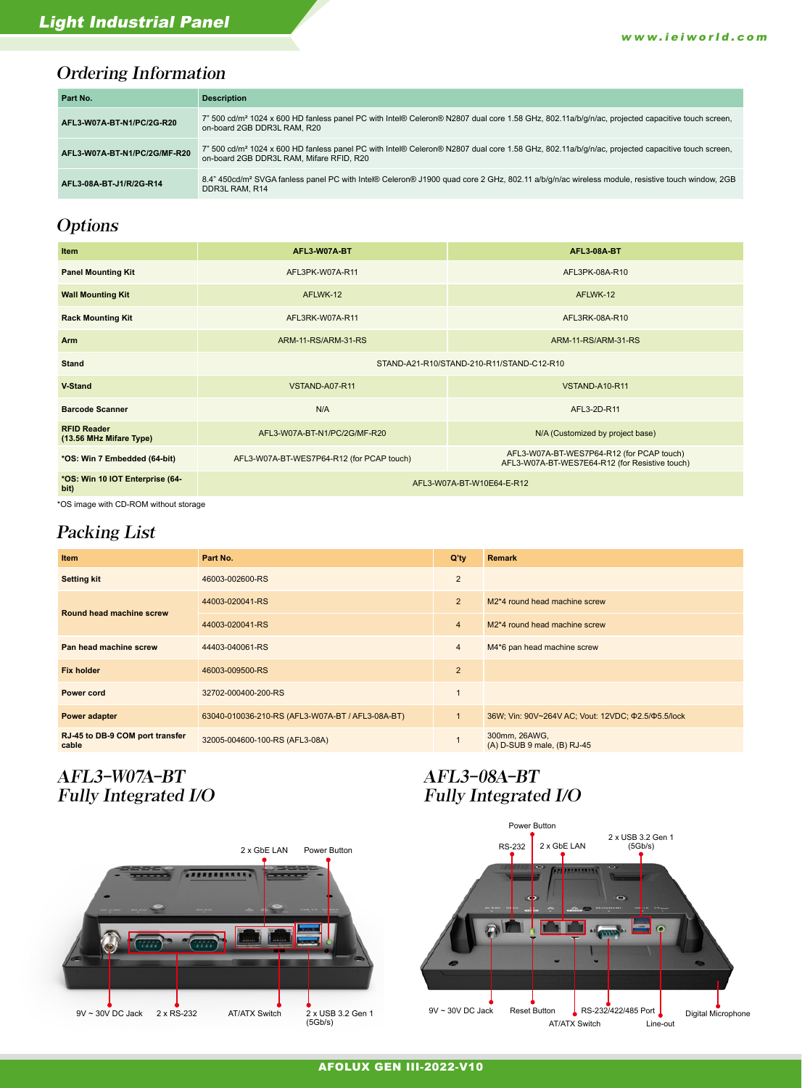## Ordering Information

| Part No.                     | <b>Description</b>                                                                                                                                                                                      |
|------------------------------|---------------------------------------------------------------------------------------------------------------------------------------------------------------------------------------------------------|
| AFL3 W07A BT N1/PC/2G R20    | 7" 500 cd/m <sup>2</sup> 1024 x 600 HD fanless panel PC with Intel® Celeron® N2807 dual core 1.58 GHz, 802.11a/b/q/n/ac, projected capacitive touch screen,<br>on-board 2GB DDR3L RAM, R20              |
| AFL3 W07A BT N1/PC/2G/MF-R20 | 7" 500 cd/m <sup>2</sup> 1024 x 600 HD fanless panel PC with Intel® Celeron® N2807 dual core 1.58 GHz, 802.11a/b/g/n/ac, projected capacitive touch screen,<br>on-board 2GB DDR3L RAM, Mifare RFID, R20 |
| AFL3 08A BT J1/R/2G R14      | 8.4" 450cd/m <sup>2</sup> SVGA fanless panel PC with Intel® Celeron® J1900 quad core 2 GHz, 802.11 a/b/g/n/ac wireless module, resistive touch window, 2GB<br>DDR3L RAM, R14                            |

## **Options**

| <b>Item</b>                                   | AFL3 W07A BT                              | <b>AFL3 08A BT</b>                                                                          |  |
|-----------------------------------------------|-------------------------------------------|---------------------------------------------------------------------------------------------|--|
| <b>Panel Mounting Kit</b>                     | AFL3PK-W07A-R11                           | AFL3PK-08A-R10                                                                              |  |
| <b>Wall Mounting Kit</b>                      | AFLWK-12                                  | AFLWK-12                                                                                    |  |
| <b>Rack Mounting Kit</b>                      | AFL3RK-W07A-R11                           | AFL3RK-08A-R10                                                                              |  |
| <b>Arm</b>                                    | ARM-11-RS/ARM-31-RS                       | ARM-11-RS/ARM-31-RS                                                                         |  |
| <b>Stand</b>                                  | STAND-A21-R10/STAND-210-R11/STAND-C12-R10 |                                                                                             |  |
| <b>V</b> Stand                                | VSTAND-A07-R11                            | VSTAND-A10-R11                                                                              |  |
| <b>Barcode Scanner</b>                        | N/A                                       | AFL3-2D-R11                                                                                 |  |
| <b>RFID Reader</b><br>(13.56 MHz Mifare Type) | AFL3-W07A-BT-N1/PC/2G/MF-R20              | N/A (Customized by project base)                                                            |  |
| *OS: Win 7 Embedded (64-bit)                  | AFL3-W07A-BT-WES7P64-R12 (for PCAP touch) | AFL3-W07A-BT-WES7P64-R12 (for PCAP touch)<br>AFL3-W07A-BT-WES7E64-R12 (for Resistive touch) |  |
| *OS: Win 10 IOT Enterprise (64-<br>bit)       | AFL3-W07A-BT-W10E64-E-R12                 |                                                                                             |  |

\*OS image with CD-ROM without storage

### Packing List

| Item                                     | Part No.                                         | $Q'$ ty        | <b>Remark</b>                                                   |
|------------------------------------------|--------------------------------------------------|----------------|-----------------------------------------------------------------|
| <b>Setting kit</b>                       | 46003-002600-RS                                  | $\overline{2}$ |                                                                 |
| Round head machine screw                 | 44003-020041-RS                                  | 2              | M <sub>2</sub> <sup>*</sup> 4 round head machine screw          |
|                                          | 44003-020041-RS                                  | $\overline{4}$ | M <sub>2</sub> <sup>*</sup> 4 round head machine screw          |
| Pan head machine screw                   | 44403-040061-RS                                  | $\overline{4}$ | M4*6 pan head machine screw                                     |
| <b>Fix holder</b>                        | 46003-009500-RS                                  | 2              |                                                                 |
| <b>Power cord</b>                        | 32702-000400-200-RS                              |                |                                                                 |
| Power adapter                            | 63040-010036-210-RS (AFL3-W07A-BT / AFL3-08A-BT) | $\mathbf{1}$   | 36W; Vin: 90V~264V AC; Vout: 12VDC; $\Phi$ 2.5/ $\Phi$ 5.5/lock |
| RJ-45 to DB-9 COM port transfer<br>cable | 32005-004600-100-RS (AFL3-08A)                   |                | 300mm, 26AWG,<br>(A) D-SUB 9 male, (B) RJ-45                    |

## AFL3-W07A-BT Fully Integrated I/O

### AFL3-08A-BT Fully Integrated I/O